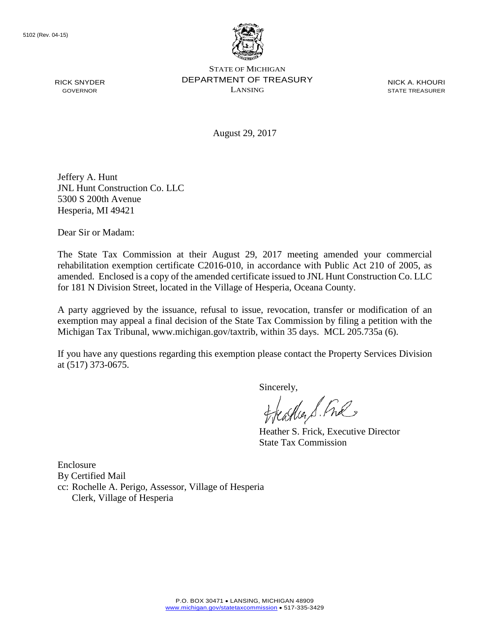

STATE OF MICHIGAN DEPARTMENT OF TREASURY LANSING

NICK A. KHOURI STATE TREASURER

August 29, 2017

Jeffery A. Hunt JNL Hunt Construction Co. LLC 5300 S 200th Avenue Hesperia, MI 49421

Dear Sir or Madam:

The State Tax Commission at their August 29, 2017 meeting amended your commercial rehabilitation exemption certificate C2016-010, in accordance with Public Act 210 of 2005, as amended. Enclosed is a copy of the amended certificate issued to JNL Hunt Construction Co. LLC for 181 N Division Street, located in the Village of Hesperia, Oceana County.

A party aggrieved by the issuance, refusal to issue, revocation, transfer or modification of an exemption may appeal a final decision of the State Tax Commission by filing a petition with the Michigan Tax Tribunal, www.michigan.gov/taxtrib, within 35 days. MCL 205.735a (6).

If you have any questions regarding this exemption please contact the Property Services Division at (517) 373-0675.

sincerely,<br>freather & Ful

Heather S. Frick, Executive Director State Tax Commission

Enclosure By Certified Mail cc: Rochelle A. Perigo, Assessor, Village of Hesperia Clerk, Village of Hesperia

RICK SNYDER GOVERNOR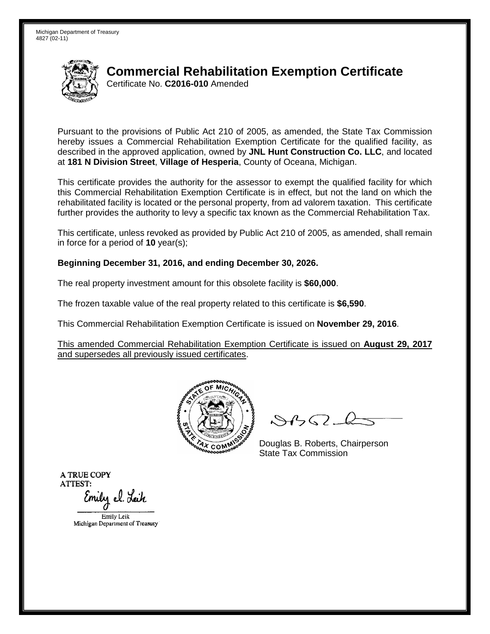

## **Commercial Rehabilitation Exemption Certificate**

Certificate No. **C2016-010** Amended

Pursuant to the provisions of Public Act 210 of 2005, as amended, the State Tax Commission hereby issues a Commercial Rehabilitation Exemption Certificate for the qualified facility, as described in the approved application, owned by **JNL Hunt Construction Co. LLC**, and located at **181 N Division Street**, **Village of Hesperia**, County of Oceana, Michigan.

This certificate provides the authority for the assessor to exempt the qualified facility for which this Commercial Rehabilitation Exemption Certificate is in effect, but not the land on which the rehabilitated facility is located or the personal property, from ad valorem taxation. This certificate further provides the authority to levy a specific tax known as the Commercial Rehabilitation Tax.

This certificate, unless revoked as provided by Public Act 210 of 2005, as amended, shall remain in force for a period of **10** year(s);

## **Beginning December 31, 2016, and ending December 30, 2026.**

The real property investment amount for this obsolete facility is **\$60,000**.

The frozen taxable value of the real property related to this certificate is **\$6,590**.

This Commercial Rehabilitation Exemption Certificate is issued on **November 29, 2016**.

This amended Commercial Rehabilitation Exemption Certificate is issued on **August 29, 2017** and supersedes all previously issued certificates.



 $\mathcal{A}$ 

Douglas B. Roberts, Chairperson State Tax Commission

A TRUE COPY ATTEST: Emily el. Leih

Emily Leik

Michigan Department of Treasury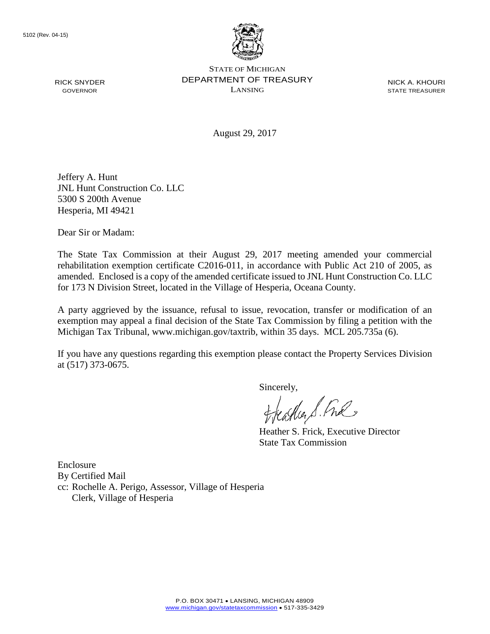

STATE OF MICHIGAN DEPARTMENT OF TREASURY LANSING

NICK A. KHOURI STATE TREASURER

August 29, 2017

Jeffery A. Hunt JNL Hunt Construction Co. LLC 5300 S 200th Avenue Hesperia, MI 49421

Dear Sir or Madam:

The State Tax Commission at their August 29, 2017 meeting amended your commercial rehabilitation exemption certificate C2016-011, in accordance with Public Act 210 of 2005, as amended. Enclosed is a copy of the amended certificate issued to JNL Hunt Construction Co. LLC for 173 N Division Street, located in the Village of Hesperia, Oceana County.

A party aggrieved by the issuance, refusal to issue, revocation, transfer or modification of an exemption may appeal a final decision of the State Tax Commission by filing a petition with the Michigan Tax Tribunal, www.michigan.gov/taxtrib, within 35 days. MCL 205.735a (6).

If you have any questions regarding this exemption please contact the Property Services Division at (517) 373-0675.

sincerely,<br>freather & Ful

Heather S. Frick, Executive Director State Tax Commission

Enclosure By Certified Mail cc: Rochelle A. Perigo, Assessor, Village of Hesperia Clerk, Village of Hesperia

RICK SNYDER GOVERNOR